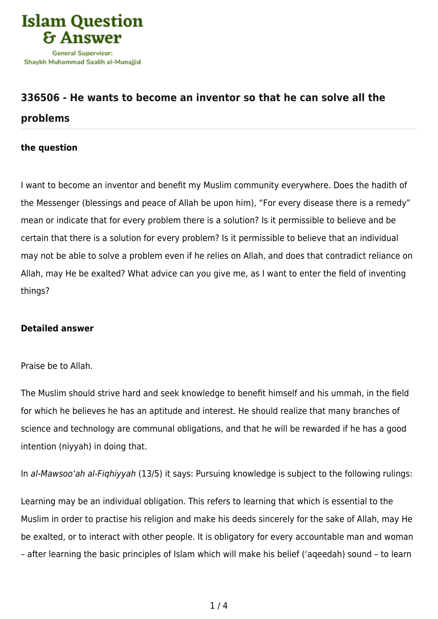

## **[336506 - He wants to become an inventor so that he can solve all the](https://islamqa.com/en/answers/336506/he-wants-to-become-an-inventor-so-that-he-can-solve-all-the-problems) [problems](https://islamqa.com/en/answers/336506/he-wants-to-become-an-inventor-so-that-he-can-solve-all-the-problems)**

## **the question**

I want to become an inventor and benefit my Muslim community everywhere. Does the hadith of the Messenger (blessings and peace of Allah be upon him), "For every disease there is a remedy" mean or indicate that for every problem there is a solution? Is it permissible to believe and be certain that there is a solution for every problem? Is it permissible to believe that an individual may not be able to solve a problem even if he relies on Allah, and does that contradict reliance on Allah, may He be exalted? What advice can you give me, as I want to enter the field of inventing things?

## **Detailed answer**

## Praise be to Allah.

The Muslim should strive hard and seek knowledge to benefit himself and his ummah, in the field for which he believes he has an aptitude and interest. He should realize that many branches of science and technology are communal obligations, and that he will be rewarded if he has a good intention (niyyah) in doing that.

In al-Mawsoo'ah al-Fiqhiyyah (13/5) it says: Pursuing knowledge is subject to the following rulings:

Learning may be an individual obligation. This refers to learning that which is essential to the Muslim in order to practise his religion and make his deeds sincerely for the sake of Allah, may He be exalted, or to interact with other people. It is obligatory for every accountable man and woman – after learning the basic principles of Islam which will make his belief ('aqeedah) sound – to learn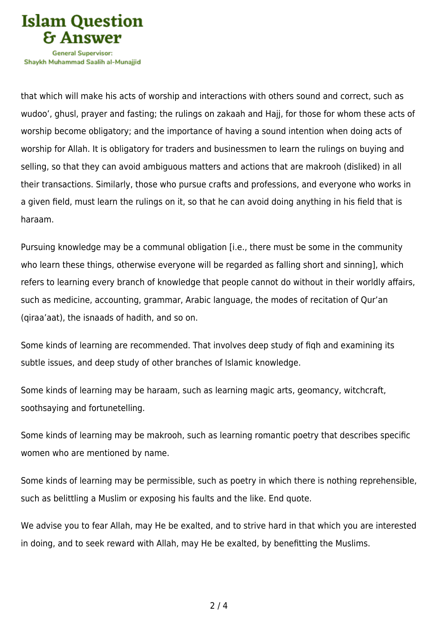

Shavkh Muhammad Saalih al-Munaiiid

that which will make his acts of worship and interactions with others sound and correct, such as wudoo', ghusl, prayer and fasting; the rulings on zakaah and Hajj, for those for whom these acts of worship become obligatory; and the importance of having a sound intention when doing acts of worship for Allah. It is obligatory for traders and businessmen to learn the rulings on buying and selling, so that they can avoid ambiguous matters and actions that are makrooh (disliked) in all their transactions. Similarly, those who pursue crafts and professions, and everyone who works in a given field, must learn the rulings on it, so that he can avoid doing anything in his field that is haraam.

Pursuing knowledge may be a communal obligation [i.e., there must be some in the community who learn these things, otherwise everyone will be regarded as falling short and sinning], which refers to learning every branch of knowledge that people cannot do without in their worldly affairs, such as medicine, accounting, grammar, Arabic language, the modes of recitation of Qur'an (qiraa'aat), the isnaads of hadith, and so on.

Some kinds of learning are recommended. That involves deep study of fiqh and examining its subtle issues, and deep study of other branches of Islamic knowledge.

Some kinds of learning may be haraam, such as learning magic arts, geomancy, witchcraft, soothsaying and fortunetelling.

Some kinds of learning may be makrooh, such as learning romantic poetry that describes specific women who are mentioned by name.

Some kinds of learning may be permissible, such as poetry in which there is nothing reprehensible, such as belittling a Muslim or exposing his faults and the like. End quote.

We advise you to fear Allah, may He be exalted, and to strive hard in that which you are interested in doing, and to seek reward with Allah, may He be exalted, by benefitting the Muslims.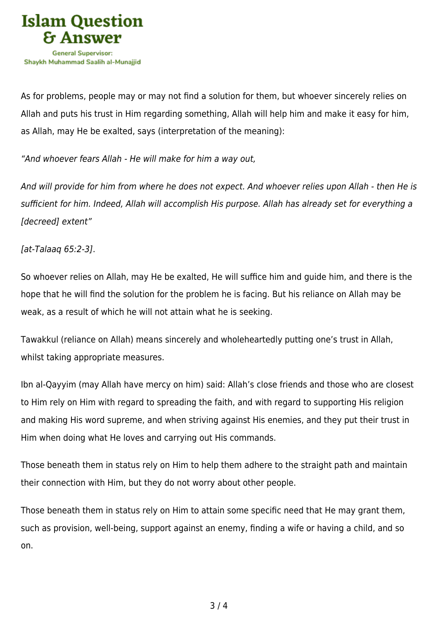

As for problems, people may or may not find a solution for them, but whoever sincerely relies on Allah and puts his trust in Him regarding something, Allah will help him and make it easy for him, as Allah, may He be exalted, says (interpretation of the meaning):

"And whoever fears Allah - He will make for him a way out,

And will provide for him from where he does not expect. And whoever relies upon Allah - then He is sufficient for him. Indeed, Allah will accomplish His purpose. Allah has already set for everything a [decreed] extent"

[at-Talaaq 65:2-3].

So whoever relies on Allah, may He be exalted, He will suffice him and guide him, and there is the hope that he will find the solution for the problem he is facing. But his reliance on Allah may be weak, as a result of which he will not attain what he is seeking.

Tawakkul (reliance on Allah) means sincerely and wholeheartedly putting one's trust in Allah, whilst taking appropriate measures.

Ibn al-Qayyim (may Allah have mercy on him) said: Allah's close friends and those who are closest to Him rely on Him with regard to spreading the faith, and with regard to supporting His religion and making His word supreme, and when striving against His enemies, and they put their trust in Him when doing what He loves and carrying out His commands.

Those beneath them in status rely on Him to help them adhere to the straight path and maintain their connection with Him, but they do not worry about other people.

Those beneath them in status rely on Him to attain some specific need that He may grant them, such as provision, well-being, support against an enemy, finding a wife or having a child, and so on.